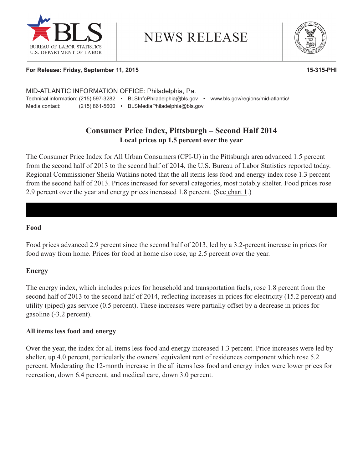

# **NEWS RELEASE**



#### **For Release: Friday, September 11, 2015 15-315-PHI**

| MID-ATLANTIC INFORMATION OFFICE: Philadelphia, Pa. |                |  |                              |  |                                   |  |  |  |
|----------------------------------------------------|----------------|--|------------------------------|--|-----------------------------------|--|--|--|
| Technical information: (215) 597-3282              |                |  | BLSInfoPhiladelphia@bls.gov  |  | www.bls.gov/regions/mid-atlantic/ |  |  |  |
| Media contact:                                     | (215) 861-5600 |  | BLSMediaPhiladelphia@bls.gov |  |                                   |  |  |  |

## **Consumer Price Index, Pittsburgh – Second Half 2014 Local prices up 1.5 percent over the year**

The Consumer Price Index for All Urban Consumers (CPI-U) in the Pittsburgh area advanced 1.5 percent from the second half of 2013 to the second half of 2014, the U.S. Bureau of Labor Statistics reported today. Regional Commissioner Sheila Watkins noted that the all items less food and energy index rose 1.3 percent from the second half of 2013. Prices increased for several categories, most notably shelter. Food prices rose 2.9 percent over the year and energy prices increased 1.8 percent. (See chart 1.)

#### **Food**

Food prices advanced 2.9 percent since the second half of 2013, led by a 3.2-percent increase in prices for food away from home. Prices for food at home also rose, up 2.5 percent over the year.

#### **Energy**

The energy index, which includes prices for household and transportation fuels, rose 1.8 percent from the second half of 2013 to the second half of 2014, reflecting increases in prices for electricity (15.2 percent) and utility (piped) gas service (0.5 percent). These increases were partially offset by a decrease in prices for gasoline (-3.2 percent).

#### **All items less food and energy**

Over the year, the index for all items less food and energy increased 1.3 percent. Price increases were led by shelter, up 4.0 percent, particularly the owners' equivalent rent of residences component which rose 5.2 percent. Moderating the 12-month increase in the all items less food and energy index were lower prices for recreation, down 6.4 percent, and medical care, down 3.0 percent.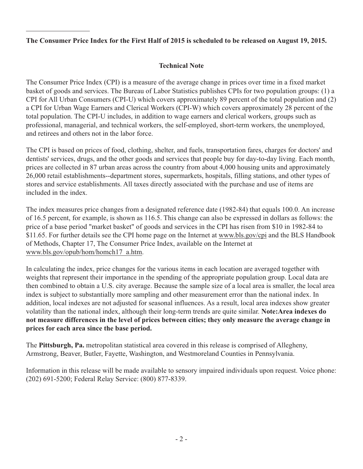## **The Consumer Price Index for the First Half of 2015 is scheduled to be released on August 19, 2015.**

## **Technical Note**

The Consumer Price Index (CPI) is a measure of the average change in prices over time in a fixed market basket of goods and services. The Bureau of Labor Statistics publishes CPIs for two population groups: (1) a CPI for All Urban Consumers (CPI-U) which covers approximately 89 percent of the total population and (2) a CPI for Urban Wage Earners and Clerical Workers (CPI-W) which covers approximately 28 percent of the total population. The CPI-U includes, in addition to wage earners and clerical workers, groups such as professional, managerial, and technical workers, the self-employed, short-term workers, the unemployed, and retirees and others not in the labor force.

The CPI is based on prices of food, clothing, shelter, and fuels, transportation fares, charges for doctors' and dentists' services, drugs, and the other goods and services that people buy for day-to-day living. Each month, prices are collected in 87 urban areas across the country from about 4,000 housing units and approximately 26,000 retail establishments--department stores, supermarkets, hospitals, filling stations, and other types of stores and service establishments. All taxes directly associated with the purchase and use of items are included in the index.

The index measures price changes from a designated reference date (1982-84) that equals 100.0. An increase of 16.5 percent, for example, is shown as 116.5. This change can also be expressed in dollars as follows: the price of a base period "market basket" of goods and services in the CPI has risen from \$10 in 1982-84 to \$11.65. For further details see the CPI home page on the Internet at [www.bls.gov/cpi](http://www.bls.gov/cpi) and the BLS Handbook of Methods, Chapter 17, The Consumer Price Index, available on the Internet at [www.bls.gov/opub/hom/homch17\\_a.htm.](http://www.bls.gov/opub/hom/homch17_a.htm)

In calculating the index, price changes for the various items in each location are averaged together with weights that represent their importance in the spending of the appropriate population group. Local data are then combined to obtain a U.S. city average. Because the sample size of a local area is smaller, the local area index is subject to substantially more sampling and other measurement error than the national index. In addition, local indexes are not adjusted for seasonal influences. As a result, local area indexes show greater volatility than the national index, although their long-term trends are quite similar. **Note:Area indexes do not measure differences in the level of prices between cities; they only measure the average change in prices for each area since the base period.**

The **Pittsburgh, Pa.** metropolitan statistical area covered in this release is comprised of Allegheny, Armstrong, Beaver, Butler, Fayette, Washington, and Westmoreland Counties in Pennsylvania.

Information in this release will be made available to sensory impaired individuals upon request. Voice phone: (202) 691-5200; Federal Relay Service: (800) 877-8339.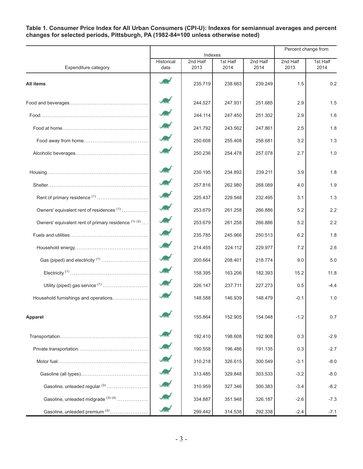#### **Table 1. Consumer Price Index for All Urban Consumers (CPI-U): Indexes for semiannual averages and percent changes for selected periods, Pittsburgh, PA (1982-84=100 unless otherwise noted)**

|                                                      | Indexes                    |                  |                  |                  | Percent change from |                  |
|------------------------------------------------------|----------------------------|------------------|------------------|------------------|---------------------|------------------|
| Expenditure category                                 | Historical<br>data         | 2nd Half<br>2013 | 1st Half<br>2014 | 2nd Half<br>2014 | 2nd Half<br>2013    | 1st Half<br>2014 |
| All items                                            |                            | 235.719          | 238.663          | 239.249          | 1.5                 | 0.2              |
|                                                      |                            | 244.527          | 247.931          | 251.685          | 2.9                 | 1.5              |
|                                                      |                            | 244.114          | 247.450          | 251.302          | 2.9                 | 1.6              |
|                                                      |                            | 241.792          | 243.562          | 247.861          | 2.5                 | 1.8              |
|                                                      |                            | 250.608          | 255.408          | 258.681          | 3.2                 | 1.3              |
|                                                      | سي ال                      | 250.236          | 254.478          | 257.078          | 2.7                 | 1.0              |
|                                                      |                            | 230.195          | 234.892          | 239.211          | 3.9                 | 1.8              |
|                                                      |                            | 257.816          | 262.980          | 268.089          | 4.0                 | 1.9              |
|                                                      |                            | 225.437          | 229.548          | 232.495          | 3.1                 | 1.3              |
| Owners' equivalent rent of residences <sup>(1)</sup> | $\mathcal{L}_{\text{max}}$ | 253.679          | 261.258          | 266.886          | 5.2                 | 2.2              |
| Owners' equivalent rent of primary residence (1) (2) | حساب                       | 253.679          | 261.258          | 266.886          | 5.2                 | 2.2              |
|                                                      |                            | 235.785          | 245.966          | 250.513          | 6.2                 | 1.8              |
|                                                      |                            | 214.455          | 224.112          | 229.977          | 7.2                 | 2.6              |
| Gas (piped) and electricity <sup>(1)</sup>           | Æ                          | 200.664          | 208.401          | 218.774          | 9.0                 | 5.0              |
|                                                      | $J_{\rm max}$              | 158.395          | 163.206          | 182.393          | 15.2                | 11.8             |
| Utility (piped) gas service <sup>(1)</sup>           |                            | 226.147          | 237.711          | 227.273          | 0.5                 | $-4.4$           |
| Household furnishings and operations                 |                            | 148.588          | 146.939          | 148.479          | $-0.1$              | 1.0              |
| Apparel                                              |                            | 155.864          | 152.905          | 154.048          | $-1.2$              | 0.7              |
|                                                      |                            | 192.410          | 198.608          | 192.908          | 0.3                 | $-2.9$           |
|                                                      | <b>SHIP</b>                | 190.558          | 196.486          | 191.135          | 0.3                 | $-2.7$           |
|                                                      |                            | 310.218          | 326.615          | 300.549          | $-3.1$              | $-8.0$           |
|                                                      |                            | 313.485          | 329.848          | 303.533          | $-3.2$              | $-8.0$           |
| Gasoline, unleaded regular <sup>(3)</sup>            |                            | 310.959          | 327.346          | 300.383          | $-3.4$              | $-8.2$           |
| Gasoline, unleaded midgrade (3)(4)                   |                            | 334.887          | 351.948          | 326.187          | $-2.6$              | $-7.3$           |
| Gasoline, unleaded premium <sup>(3)</sup>            |                            | 299.442          | 314.538          | 292.338          | $-2.4$              | $-7.1$           |